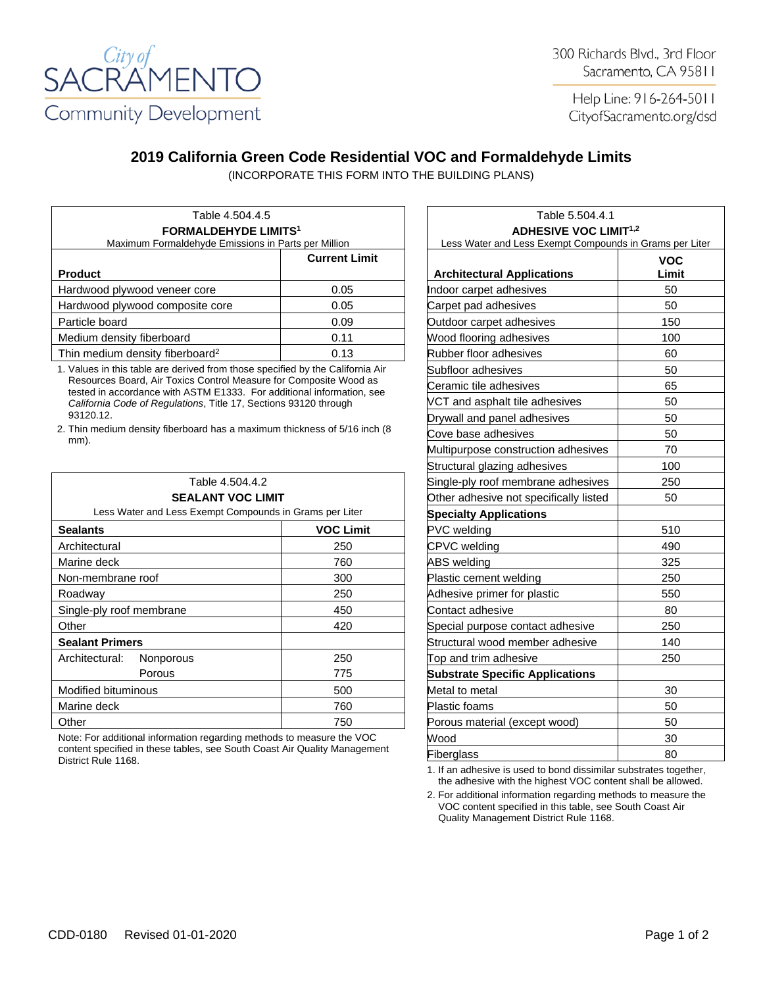

Help Line: 916-264-5011 CityofSacramento.org/dsd

## **2019 California Green Code Residential VOC and Formaldehyde Limits**

(INCORPORATE THIS FORM INTO THE BUILDING PLANS)

| Table 4.504.4.5<br><b>FORMALDEHYDE LIMITS<sup>1</sup></b><br>Maximum Formaldehyde Emissions in Parts per Million |                      | Table 5.504.4.1<br><b>ADHESIVE VOC LIMIT<sup>1,2</sup></b><br>Less Water and Less Exempt Compounds in Grams p |                    |
|------------------------------------------------------------------------------------------------------------------|----------------------|---------------------------------------------------------------------------------------------------------------|--------------------|
| <b>Product</b>                                                                                                   | <b>Current Limit</b> |                                                                                                               | <b>VOC</b><br>Limi |
|                                                                                                                  |                      | <b>Architectural Applications</b>                                                                             |                    |
| Hardwood plywood veneer core                                                                                     | 0.05                 | Indoor carpet adhesives                                                                                       | 50                 |
| Hardwood plywood composite core                                                                                  | 0.05                 | Carpet pad adhesives                                                                                          | 50                 |
| Particle board                                                                                                   | 0.09                 | Outdoor carpet adhesives                                                                                      | 150                |
| Medium density fiberboard                                                                                        | 0.11                 | Wood flooring adhesives                                                                                       | 100                |
| Thin medium density fiberboard <sup>2</sup>                                                                      | 0.13                 | Rubber floor adhesives                                                                                        | 60                 |

1. Values in this table are derived from those specified by the California Air Resources Board, Air Toxics Control Measure for Composite Wood as tested in accordance with ASTM E1333. For additional information, see *California Code of Regulations*, Title 17, Sections 93120 through 93120.12.

2. Thin medium density fiberboard has a maximum thickness of 5/16 inch (8 mm).

| Table 4.504.4.2<br><b>SEALANT VOC LIMIT</b><br>Less Water and Less Exempt Compounds in Grams per Liter |     | Single-ply roof membrane adhesives                                      | 250 |
|--------------------------------------------------------------------------------------------------------|-----|-------------------------------------------------------------------------|-----|
|                                                                                                        |     | Other adhesive not specifically listed<br><b>Specialty Applications</b> | 50  |
|                                                                                                        |     |                                                                         |     |
| Architectural                                                                                          | 250 | CPVC welding                                                            | 490 |
| Marine deck                                                                                            | 760 | <b>ABS</b> welding                                                      | 325 |
| Non-membrane roof                                                                                      | 300 | Plastic cement welding                                                  | 250 |
| Roadway                                                                                                | 250 | Adhesive primer for plastic                                             | 550 |
| Single-ply roof membrane                                                                               | 450 | Contact adhesive                                                        | 80  |
| Other                                                                                                  | 420 | Special purpose contact adhesive                                        | 250 |
| <b>Sealant Primers</b>                                                                                 |     | Structural wood member adhesive                                         | 140 |
| Architectural:<br><b>Nonporous</b>                                                                     | 250 | Top and trim adhesive                                                   | 250 |
| Porous                                                                                                 | 775 | <b>Substrate Specific Applications</b>                                  |     |
| Modified bituminous                                                                                    | 500 | Metal to metal                                                          | 30  |
| Marine deck                                                                                            | 760 | <b>Plastic foams</b>                                                    | 50  |
| Other                                                                                                  | 750 | Porous material (except wood)                                           | 50  |
|                                                                                                        |     |                                                                         |     |

Note: For additional information regarding methods to measure the VOC content specified in these tables, see South Coast Air Quality Management District Rule 1168.

| Table 5.504.4.1                                         |                     |  |
|---------------------------------------------------------|---------------------|--|
| <b>ADHESIVE VOC LIMIT<sup>1,2</sup></b>                 |                     |  |
| Less Water and Less Exempt Compounds in Grams per Liter |                     |  |
| <b>Architectural Applications</b>                       | <b>VOC</b><br>Limit |  |
| Indoor carpet adhesives                                 | 50                  |  |
| Carpet pad adhesives                                    | 50                  |  |
| Outdoor carpet adhesives                                | 150                 |  |
| Wood flooring adhesives                                 | 100                 |  |
| Rubber floor adhesives                                  | 60                  |  |
| Subfloor adhesives                                      | 50                  |  |
| Ceramic tile adhesives                                  | 65                  |  |
| VCT and asphalt tile adhesives                          | 50                  |  |
| Drywall and panel adhesives                             | 50                  |  |
| Cove base adhesives                                     | 50                  |  |
| Multipurpose construction adhesives                     | 70                  |  |
| Structural glazing adhesives                            | 100                 |  |
| Single-ply roof membrane adhesives                      | 250                 |  |
| Other adhesive not specifically listed                  | 50                  |  |
| <b>Specialty Applications</b>                           |                     |  |
| PVC welding                                             | 510                 |  |
| CPVC welding                                            | 490                 |  |
| ABS welding                                             | 325                 |  |
| Plastic cement welding                                  | 250                 |  |
| Adhesive primer for plastic                             | 550                 |  |
| Contact adhesive                                        | 80                  |  |
| Special purpose contact adhesive                        | 250                 |  |
| Structural wood member adhesive                         | 140                 |  |
| Top and trim adhesive                                   | 250                 |  |
| <b>Substrate Specific Applications</b>                  |                     |  |
| Metal to metal                                          | 30                  |  |
| <b>Plastic foams</b>                                    | 50                  |  |
| Porous material (except wood)                           | 50                  |  |
| Wood                                                    | 30                  |  |
| Fiberglass                                              | 80                  |  |

1. If an adhesive is used to bond dissimilar substrates together, the adhesive with the highest VOC content shall be allowed.

2. For additional information regarding methods to measure the VOC content specified in this table, see South Coast Air Quality Management District Rule 1168.